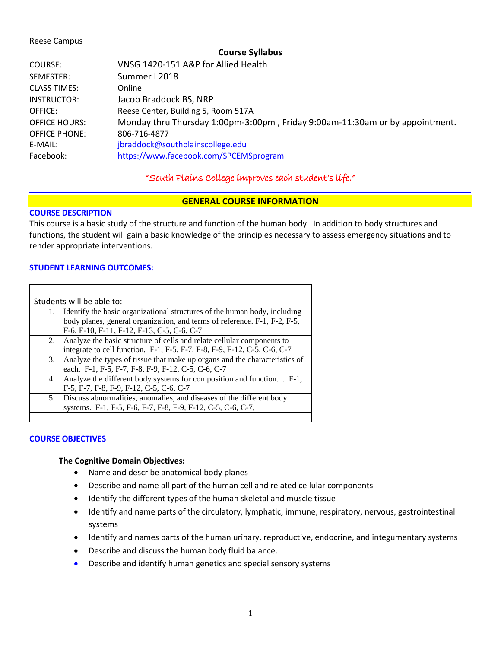#### Reese Campus

#### **Course Syllabus**

| SEMESTER:<br>Summer I 2018<br><b>CLASS TIMES:</b><br>Online<br>Jacob Braddock BS, NRP<br>INSTRUCTOR:<br>Reese Center, Building 5, Room 517A<br>OFFICE:<br><b>OFFICE HOURS:</b><br><b>OFFICE PHONE:</b><br>806-716-4877<br>E-MAIL:<br>jbraddock@southplainscollege.edu<br>Facebook:<br>https://www.facebook.com/SPCEMSprogram | COURSE: | VNSG 1420-151 A&P for Allied Health                                          |
|------------------------------------------------------------------------------------------------------------------------------------------------------------------------------------------------------------------------------------------------------------------------------------------------------------------------------|---------|------------------------------------------------------------------------------|
|                                                                                                                                                                                                                                                                                                                              |         |                                                                              |
|                                                                                                                                                                                                                                                                                                                              |         |                                                                              |
|                                                                                                                                                                                                                                                                                                                              |         |                                                                              |
|                                                                                                                                                                                                                                                                                                                              |         |                                                                              |
|                                                                                                                                                                                                                                                                                                                              |         | Monday thru Thursday 1:00pm-3:00pm, Friday 9:00am-11:30am or by appointment. |
|                                                                                                                                                                                                                                                                                                                              |         |                                                                              |
|                                                                                                                                                                                                                                                                                                                              |         |                                                                              |
|                                                                                                                                                                                                                                                                                                                              |         |                                                                              |

## "South Plains College improves each student's life."

## **GENERAL COURSE INFORMATION**

#### **COURSE DESCRIPTION**

This course is a basic study of the structure and function of the human body. In addition to body structures and functions, the student will gain a basic knowledge of the principles necessary to assess emergency situations and to render appropriate interventions.

## **STUDENT LEARNING OUTCOMES:**

| Students will be able to: |                                                                            |  |  |
|---------------------------|----------------------------------------------------------------------------|--|--|
| 1.                        | Identify the basic organizational structures of the human body, including  |  |  |
|                           | body planes, general organization, and terms of reference. F-1, F-2, F-5,  |  |  |
|                           | F-6, F-10, F-11, F-12, F-13, C-5, C-6, C-7                                 |  |  |
|                           | 2. Analyze the basic structure of cells and relate cellular components to  |  |  |
|                           | integrate to cell function. F-1, F-5, F-7, F-8, F-9, F-12, C-5, C-6, C-7   |  |  |
| 3.                        | Analyze the types of tissue that make up organs and the characteristics of |  |  |
|                           | each. F-1, F-5, F-7, F-8, F-9, F-12, C-5, C-6, C-7                         |  |  |
|                           | 4. Analyze the different body systems for composition and function. . F-1, |  |  |
|                           | F-5, F-7, F-8, F-9, F-12, C-5, C-6, C-7                                    |  |  |
| 5.                        | Discuss abnormalities, anomalies, and diseases of the different body       |  |  |
|                           | systems. F-1, F-5, F-6, F-7, F-8, F-9, F-12, C-5, C-6, C-7,                |  |  |
|                           |                                                                            |  |  |

#### **COURSE OBJECTIVES**

#### **The Cognitive Domain Objectives:**

- Name and describe anatomical body planes
- Describe and name all part of the human cell and related cellular components
- Identify the different types of the human skeletal and muscle tissue
- Identify and name parts of the circulatory, lymphatic, immune, respiratory, nervous, gastrointestinal systems
- Identify and names parts of the human urinary, reproductive, endocrine, and integumentary systems
- Describe and discuss the human body fluid balance.
- Describe and identify human genetics and special sensory systems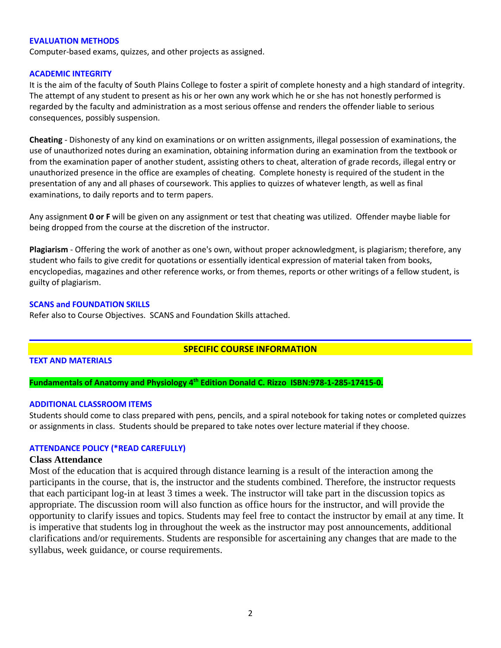#### **EVALUATION METHODS**

Computer-based exams, quizzes, and other projects as assigned.

#### **ACADEMIC INTEGRITY**

It is the aim of the faculty of South Plains College to foster a spirit of complete honesty and a high standard of integrity. The attempt of any student to present as his or her own any work which he or she has not honestly performed is regarded by the faculty and administration as a most serious offense and renders the offender liable to serious consequences, possibly suspension.

**Cheating** - Dishonesty of any kind on examinations or on written assignments, illegal possession of examinations, the use of unauthorized notes during an examination, obtaining information during an examination from the textbook or from the examination paper of another student, assisting others to cheat, alteration of grade records, illegal entry or unauthorized presence in the office are examples of cheating. Complete honesty is required of the student in the presentation of any and all phases of coursework. This applies to quizzes of whatever length, as well as final examinations, to daily reports and to term papers.

Any assignment **0 or F** will be given on any assignment or test that cheating was utilized. Offender maybe liable for being dropped from the course at the discretion of the instructor.

**Plagiarism** - Offering the work of another as one's own, without proper acknowledgment, is plagiarism; therefore, any student who fails to give credit for quotations or essentially identical expression of material taken from books, encyclopedias, magazines and other reference works, or from themes, reports or other writings of a fellow student, is guilty of plagiarism.

#### **SCANS and FOUNDATION SKILLS**

Refer also to Course Objectives. SCANS and Foundation Skills attached.

## **SPECIFIC COURSE INFORMATION**

## **TEXT AND MATERIALS**

**Fundamentals of Anatomy and Physiology 4th Edition Donald C. Rizzo ISBN:978-1-285-17415-0.**

## **ADDITIONAL CLASSROOM ITEMS**

Students should come to class prepared with pens, pencils, and a spiral notebook for taking notes or completed quizzes or assignments in class. Students should be prepared to take notes over lecture material if they choose.

## **ATTENDANCE POLICY (\*READ CAREFULLY)**

#### **Class Attendance**

Most of the education that is acquired through distance learning is a result of the interaction among the participants in the course, that is, the instructor and the students combined. Therefore, the instructor requests that each participant log-in at least 3 times a week. The instructor will take part in the discussion topics as appropriate. The discussion room will also function as office hours for the instructor, and will provide the opportunity to clarify issues and topics. Students may feel free to contact the instructor by email at any time. It is imperative that students log in throughout the week as the instructor may post announcements, additional clarifications and/or requirements. Students are responsible for ascertaining any changes that are made to the syllabus, week guidance, or course requirements.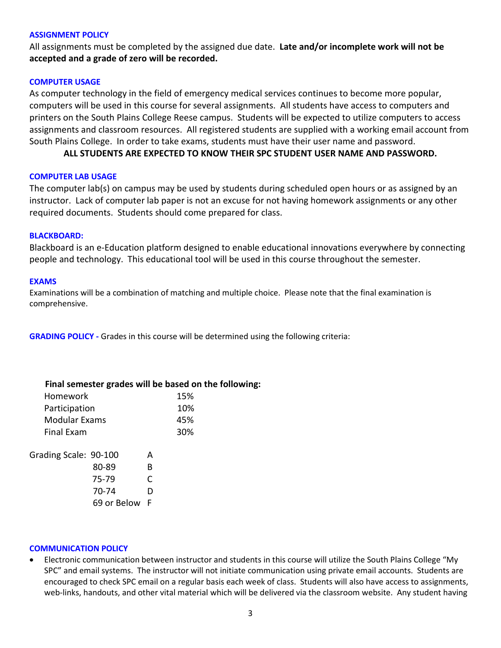#### **ASSIGNMENT POLICY**

All assignments must be completed by the assigned due date. **Late and/or incomplete work will not be accepted and a grade of zero will be recorded.**

### **COMPUTER USAGE**

As computer technology in the field of emergency medical services continues to become more popular, computers will be used in this course for several assignments. All students have access to computers and printers on the South Plains College Reese campus. Students will be expected to utilize computers to access assignments and classroom resources. All registered students are supplied with a working email account from South Plains College. In order to take exams, students must have their user name and password.

**ALL STUDENTS ARE EXPECTED TO KNOW THEIR SPC STUDENT USER NAME AND PASSWORD.**

#### **COMPUTER LAB USAGE**

The computer lab(s) on campus may be used by students during scheduled open hours or as assigned by an instructor. Lack of computer lab paper is not an excuse for not having homework assignments or any other required documents. Students should come prepared for class.

#### **BLACKBOARD:**

Blackboard is an e-Education platform designed to enable educational innovations everywhere by connecting people and technology. This educational tool will be used in this course throughout the semester.

#### **EXAMS**

Examinations will be a combination of matching and multiple choice. Please note that the final examination is comprehensive.

**GRADING POLICY -** Grades in this course will be determined using the following criteria:

|                       |             |   | Final semester grades will be based on the following: |
|-----------------------|-------------|---|-------------------------------------------------------|
| Homework              |             |   | 15%                                                   |
| Participation         |             |   | 10%                                                   |
| Modular Exams         |             |   | 45%                                                   |
| <b>Final Exam</b>     |             |   | 30%                                                   |
| Grading Scale: 90-100 |             | A |                                                       |
|                       | 80-89       | B |                                                       |
|                       | 75-79       |   |                                                       |
|                       | 70-74       |   |                                                       |
|                       | 69 or Below |   |                                                       |

#### **COMMUNICATION POLICY**

• Electronic communication between instructor and students in this course will utilize the South Plains College "My SPC" and email systems. The instructor will not initiate communication using private email accounts. Students are encouraged to check SPC email on a regular basis each week of class. Students will also have access to assignments, web-links, handouts, and other vital material which will be delivered via the classroom website. Any student having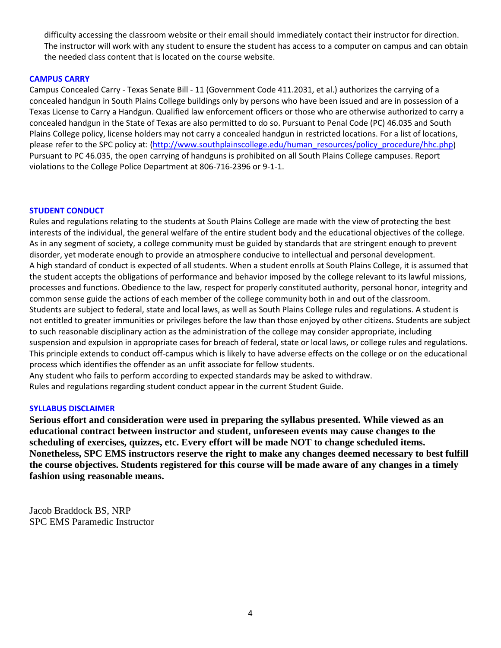difficulty accessing the classroom website or their email should immediately contact their instructor for direction. The instructor will work with any student to ensure the student has access to a computer on campus and can obtain the needed class content that is located on the course website.

## **CAMPUS CARRY**

Campus Concealed Carry - Texas Senate Bill - 11 (Government Code 411.2031, et al.) authorizes the carrying of a concealed handgun in South Plains College buildings only by persons who have been issued and are in possession of a Texas License to Carry a Handgun. Qualified law enforcement officers or those who are otherwise authorized to carry a concealed handgun in the State of Texas are also permitted to do so. Pursuant to Penal Code (PC) 46.035 and South Plains College policy, license holders may not carry a concealed handgun in restricted locations. For a list of locations, please refer to the SPC policy at: [\(http://www.southplainscollege.edu/human\\_resources/policy\\_procedure/hhc.php\)](http://www.southplainscollege.edu/human_resources/policy_procedure/hhc.php) Pursuant to PC 46.035, the open carrying of handguns is prohibited on all South Plains College campuses. Report violations to the College Police Department at 806-716-2396 or 9-1-1.

#### **STUDENT CONDUCT**

Rules and regulations relating to the students at South Plains College are made with the view of protecting the best interests of the individual, the general welfare of the entire student body and the educational objectives of the college. As in any segment of society, a college community must be guided by standards that are stringent enough to prevent disorder, yet moderate enough to provide an atmosphere conducive to intellectual and personal development. A high standard of conduct is expected of all students. When a student enrolls at South Plains College, it is assumed that the student accepts the obligations of performance and behavior imposed by the college relevant to its lawful missions, processes and functions. Obedience to the law, respect for properly constituted authority, personal honor, integrity and common sense guide the actions of each member of the college community both in and out of the classroom. Students are subject to federal, state and local laws, as well as South Plains College rules and regulations. A student is not entitled to greater immunities or privileges before the law than those enjoyed by other citizens. Students are subject to such reasonable disciplinary action as the administration of the college may consider appropriate, including suspension and expulsion in appropriate cases for breach of federal, state or local laws, or college rules and regulations. This principle extends to conduct off-campus which is likely to have adverse effects on the college or on the educational process which identifies the offender as an unfit associate for fellow students.

Any student who fails to perform according to expected standards may be asked to withdraw. Rules and regulations regarding student conduct appear in the current Student Guide.

#### **SYLLABUS DISCLAIMER**

**Serious effort and consideration were used in preparing the syllabus presented. While viewed as an educational contract between instructor and student, unforeseen events may cause changes to the scheduling of exercises, quizzes, etc. Every effort will be made NOT to change scheduled items. Nonetheless, SPC EMS instructors reserve the right to make any changes deemed necessary to best fulfill the course objectives. Students registered for this course will be made aware of any changes in a timely fashion using reasonable means.** 

Jacob Braddock BS, NRP SPC EMS Paramedic Instructor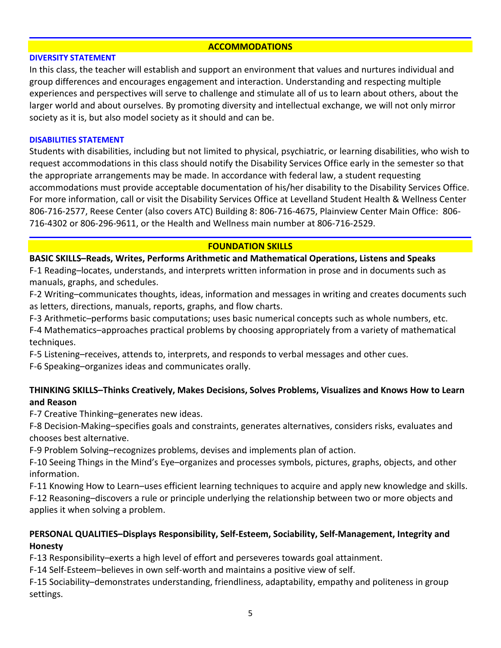## **ACCOMMODATIONS**

### **DIVERSITY STATEMENT**

In this class, the teacher will establish and support an environment that values and nurtures individual and group differences and encourages engagement and interaction. Understanding and respecting multiple experiences and perspectives will serve to challenge and stimulate all of us to learn about others, about the larger world and about ourselves. By promoting diversity and intellectual exchange, we will not only mirror society as it is, but also model society as it should and can be.

## **DISABILITIES STATEMENT**

Students with disabilities, including but not limited to physical, psychiatric, or learning disabilities, who wish to request accommodations in this class should notify the Disability Services Office early in the semester so that the appropriate arrangements may be made. In accordance with federal law, a student requesting accommodations must provide acceptable documentation of his/her disability to the Disability Services Office. For more information, call or visit the Disability Services Office at Levelland Student Health & Wellness Center 806-716-2577, Reese Center (also covers ATC) Building 8: 806-716-4675, Plainview Center Main Office: 806- 716-4302 or 806-296-9611, or the Health and Wellness main number at 806-716-2529.

## **FOUNDATION SKILLS**

## **BASIC SKILLS–Reads, Writes, Performs Arithmetic and Mathematical Operations, Listens and Speaks**

F-1 Reading–locates, understands, and interprets written information in prose and in documents such as manuals, graphs, and schedules.

F-2 Writing–communicates thoughts, ideas, information and messages in writing and creates documents such as letters, directions, manuals, reports, graphs, and flow charts.

F-3 Arithmetic–performs basic computations; uses basic numerical concepts such as whole numbers, etc.

F-4 Mathematics–approaches practical problems by choosing appropriately from a variety of mathematical techniques.

F-5 Listening–receives, attends to, interprets, and responds to verbal messages and other cues.

F-6 Speaking–organizes ideas and communicates orally.

## **THINKING SKILLS–Thinks Creatively, Makes Decisions, Solves Problems, Visualizes and Knows How to Learn and Reason**

F-7 Creative Thinking–generates new ideas.

F-8 Decision-Making–specifies goals and constraints, generates alternatives, considers risks, evaluates and chooses best alternative.

F-9 Problem Solving–recognizes problems, devises and implements plan of action.

F-10 Seeing Things in the Mind's Eye–organizes and processes symbols, pictures, graphs, objects, and other information.

F-11 Knowing How to Learn–uses efficient learning techniques to acquire and apply new knowledge and skills. F-12 Reasoning–discovers a rule or principle underlying the relationship between two or more objects and applies it when solving a problem.

## **PERSONAL QUALITIES–Displays Responsibility, Self-Esteem, Sociability, Self-Management, Integrity and Honesty**

F-13 Responsibility–exerts a high level of effort and perseveres towards goal attainment.

F-14 Self-Esteem–believes in own self-worth and maintains a positive view of self.

F-15 Sociability–demonstrates understanding, friendliness, adaptability, empathy and politeness in group settings.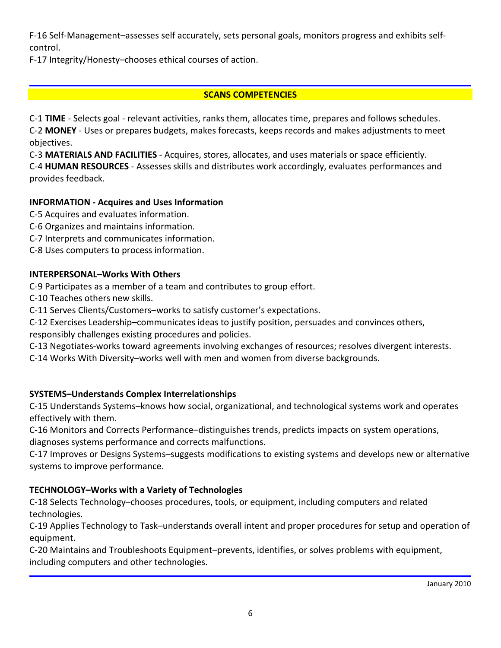F-16 Self-Management–assesses self accurately, sets personal goals, monitors progress and exhibits selfcontrol.

F-17 Integrity/Honesty–chooses ethical courses of action.

# **SCANS COMPETENCIES**

C-1 **TIME** - Selects goal - relevant activities, ranks them, allocates time, prepares and follows schedules. C-2 **MONEY** - Uses or prepares budgets, makes forecasts, keeps records and makes adjustments to meet objectives.

C-3 **MATERIALS AND FACILITIES** - Acquires, stores, allocates, and uses materials or space efficiently. C-4 **HUMAN RESOURCES** - Assesses skills and distributes work accordingly, evaluates performances and provides feedback.

# **INFORMATION - Acquires and Uses Information**

- C-5 Acquires and evaluates information.
- C-6 Organizes and maintains information.
- C-7 Interprets and communicates information.
- C-8 Uses computers to process information.

## **INTERPERSONAL–Works With Others**

C-9 Participates as a member of a team and contributes to group effort.

C-10 Teaches others new skills.

C-11 Serves Clients/Customers–works to satisfy customer's expectations.

C-12 Exercises Leadership–communicates ideas to justify position, persuades and convinces others, responsibly challenges existing procedures and policies.

C-13 Negotiates-works toward agreements involving exchanges of resources; resolves divergent interests.

C-14 Works With Diversity–works well with men and women from diverse backgrounds.

# **SYSTEMS–Understands Complex Interrelationships**

C-15 Understands Systems–knows how social, organizational, and technological systems work and operates effectively with them.

C-16 Monitors and Corrects Performance–distinguishes trends, predicts impacts on system operations, diagnoses systems performance and corrects malfunctions.

C-17 Improves or Designs Systems–suggests modifications to existing systems and develops new or alternative systems to improve performance.

# **TECHNOLOGY–Works with a Variety of Technologies**

C-18 Selects Technology–chooses procedures, tools, or equipment, including computers and related technologies.

C-19 Applies Technology to Task–understands overall intent and proper procedures for setup and operation of equipment.

C-20 Maintains and Troubleshoots Equipment–prevents, identifies, or solves problems with equipment, including computers and other technologies.